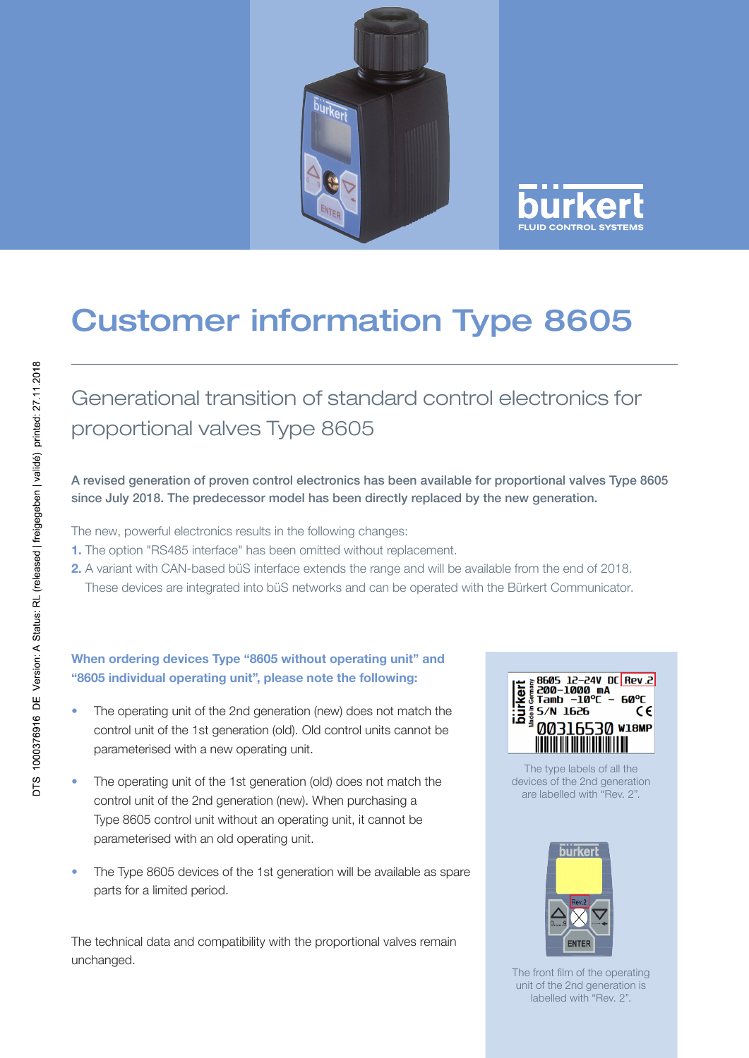



## Customer information Type 8605

Generational transition of standard control electronics for proportional valves Type 8605

A revised generation of proven control electronics has been available for proportional valves Type 8605 since July 2018. The predecessor model has been directly replaced by the new generation.

The new, powerful electronics results in the following changes:

- 1. The option "RS485 interface" has been omitted without replacement.
- 2. A variant with CAN-based büS interface extends the range and will be available from the end of 2018. These devices are integrated into büS networks and can be operated with the Bürkert Communicator.

## When ordering devices Type "8605 without operating unit" and "8605 individual operating unit", please note the following:

- The operating unit of the 2nd generation (new) does not match the control unit of the 1st generation (old). Old control units cannot be parameterised with a new operating unit.
- The operating unit of the 1st generation (old) does not match the control unit of the 2nd generation (new). When purchasing a Type 8605 control unit without an operating unit, it cannot be parameterised with an old operating unit.
- The Type 8605 devices of the 1st generation will be available as spare parts for a limited period.

The technical data and compatibility with the proportional valves remain unchanged.

| $\frac{25}{9}$ 5/N 1626 | <b>a</b> 8605 12-24V DC Rev.2<br><b>E 200-1000 mA</b><br>g Tamb -10°C - 60°C<br>٢F |
|-------------------------|------------------------------------------------------------------------------------|
|                         | <b>0316530 мламр</b>                                                               |

The type labels of all the devices of the 2nd generation are labelled with "Rev. 2".



The front film of the operating unit of the 2nd generation is labelled with "Rev. 2".